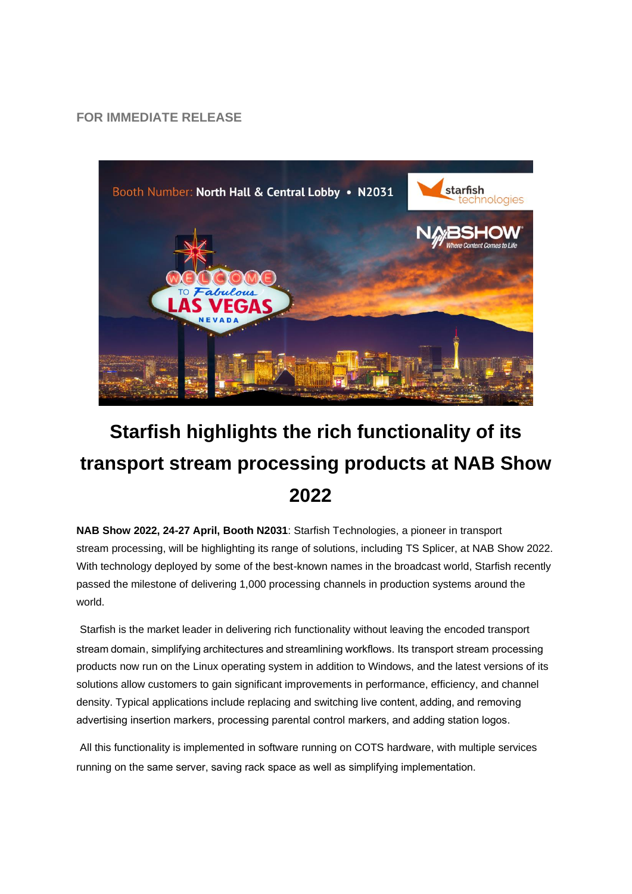**FOR IMMEDIATE RELEASE**



## **Starfish highlights the rich functionality of its transport stream processing products at NAB Show 2022**

**NAB Show 2022, 24-27 April, Booth N2031**: Starfish Technologies, a pioneer in transport stream processing, will be highlighting its range of solutions, including TS Splicer, at NAB Show 2022. With technology deployed by some of the best-known names in the broadcast world, Starfish recently passed the milestone of delivering 1,000 processing channels in production systems around the world.

Starfish is the market leader in delivering rich functionality without leaving the encoded transport stream domain, simplifying architectures and streamlining workflows. Its transport stream processing products now run on the Linux operating system in addition to Windows, and the latest versions of its solutions allow customers to gain significant improvements in performance, efficiency, and channel density. Typical applications include replacing and switching live content, adding, and removing advertising insertion markers, processing parental control markers, and adding station logos. 

All this functionality is implemented in software running on COTS hardware, with multiple services running on the same server, saving rack space as well as simplifying implementation.